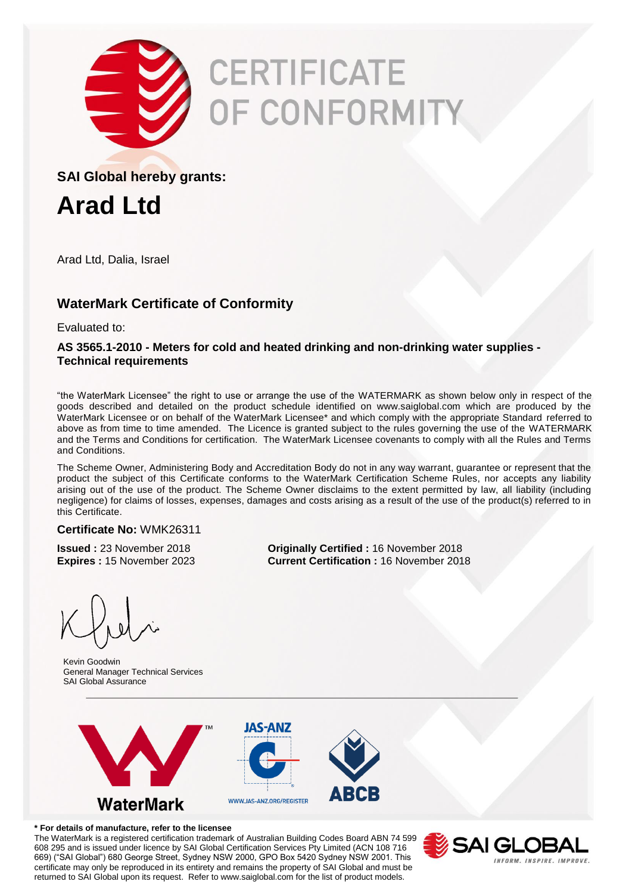

# CERTIFICATE *OF CONFORMITY*

### **SAI Global hereby grants:**

**Arad Ltd**

Arad Ltd, Dalia, Israel

# **WaterMark Certificate of Conformity**

Evaluated to:

#### **AS 3565.1-2010 - Meters for cold and heated drinking and non-drinking water supplies - Technical requirements**

"the WaterMark Licensee" the right to use or arrange the use of the WATERMARK as shown below only in respect of the goods described and detailed on the product schedule identified on www.saiglobal.com which are produced by the WaterMark Licensee or on behalf of the WaterMark Licensee\* and which comply with the appropriate Standard referred to above as from time to time amended. The Licence is granted subject to the rules governing the use of the WATERMARK and the Terms and Conditions for certification. The WaterMark Licensee covenants to comply with all the Rules and Terms and Conditions.

The Scheme Owner, Administering Body and Accreditation Body do not in any way warrant, guarantee or represent that the product the subject of this Certificate conforms to the WaterMark Certification Scheme Rules, nor accepts any liability arising out of the use of the product. The Scheme Owner disclaims to the extent permitted by law, all liability (including negligence) for claims of losses, expenses, damages and costs arising as a result of the use of the product(s) referred to in this Certificate.

#### **Certificate No:** WMK26311

**Issued :** 23 November 2018 **Originally Certified :** 16 November 2018 **Expires :** 15 November 2023 **Current Certification :** 16 November 2018

Kevin Goodwin General Manager Technical Services SAI Global Assurance





**\* For details of manufacture, refer to the licensee**

The WaterMark is a registered certification trademark of Australian Building Codes Board ABN 74 599 608 295 and is issued under licence by SAI Global Certification Services Pty Limited (ACN 108 716 669) ("SAI Global") 680 George Street, Sydney NSW 2000, GPO Box 5420 Sydney NSW 2001. This certificate may only be reproduced in its entirety and remains the property of SAI Global and must be returned to SAI Global upon its request. Refer to www.saiglobal.com for the list of product models.